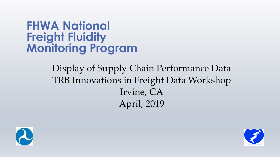# **FHWA National Freight Fluidity Monitoring Program**

### Display of Supply Chain Performance Data TRB Innovations in Freight Data Workshop Irvine, CA April, 2019



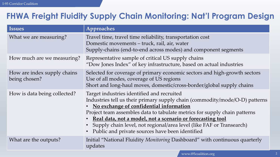### **FHWA Freight Fluidity Supply Chain Monitoring: Nat'l Program Design**

| <b>Issues</b>                                | <b>Approaches</b>                                                                                                                                                                                                                                                                                                                                                                                                                              |  |
|----------------------------------------------|------------------------------------------------------------------------------------------------------------------------------------------------------------------------------------------------------------------------------------------------------------------------------------------------------------------------------------------------------------------------------------------------------------------------------------------------|--|
| What we are measuring?                       | Travel time, travel time reliability, transportation cost<br>Domestic movements – truck, rail, air, water<br>Supply-chains (end-to-end across modes) and component segments                                                                                                                                                                                                                                                                    |  |
| How much are we measuring?                   | Representative sample of critical US supply chains<br>"Dow Jones Index" of key infrastructure, based on actual industries                                                                                                                                                                                                                                                                                                                      |  |
| How are index supply chains<br>being chosen? | Selected for coverage of primary economic sectors and high-growth sectors<br>Use of all modes, coverage of US regions<br>Short and long-haul moves, domestic/cross-border/global supply chains                                                                                                                                                                                                                                                 |  |
| How is data being collected?                 | Target industries identified and recruited<br>Industries tell us their primary supply chain (commodity/mode/O-D) patterns<br>• No exchange of confidential information<br>Project team assembles data to tabulate metrics for supply chain patterns<br>· Real data, not a model, not a scenario or forecasting tool<br>Supply chain level, not regional/area level (like FAF or Transearch)<br>Public and private sources have been identified |  |
| What are the outputs?                        | Initial "National Fluidity Monitoring Dashboard" with continuous quarterly<br>updates                                                                                                                                                                                                                                                                                                                                                          |  |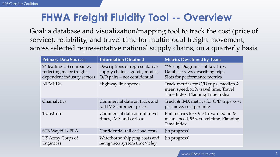## **FHWA Freight Fluidity Tool -- Overview**

Goal: a database and visualization/mapping tool to track the cost (price of service), reliability, and travel time for multimodal freight movement, across selected representative national supply chains, on a quarterly basis

| <b>Primary Data Sources</b>                                                        | <b>Information Obtained</b>                                                                     | <b>Metrics Developed by Team</b>                                                                                |
|------------------------------------------------------------------------------------|-------------------------------------------------------------------------------------------------|-----------------------------------------------------------------------------------------------------------------|
| 24 leading US companies<br>reflecting major freight-<br>dependent industry sectors | Descriptions of representative<br>supply chains - goods, modes,<br>O/D pairs - not confidential | "Wiring Diagrams" of key trips<br>Database rows describing trips<br>Slots for performance metrics               |
| <b>NPMRDS</b>                                                                      | Highway link speeds                                                                             | Truck metrics for O/D trips: median &<br>mean speed, 95% travel time, Travel<br>Time Index, Planning Time Index |
| Chainalytics                                                                       | Commercial data on truck and<br>rail IMX shipment prices                                        | Truck & IMX metrics for O/D trips: cost<br>per move, cost per mile                                              |
| <b>TransCore</b>                                                                   | Commercial data on rail travel<br>times, IMX and carload                                        | Rail metrics for O/D trips: median &<br>mean speed, 95% travel time, Planning<br>Time Index                     |
| STB Waybill / FRA                                                                  | Confidential rail carload costs                                                                 | [in progress]                                                                                                   |
| US Army Corps of<br>Engineers                                                      | Waterborne shipping costs and<br>navigation system time/delay                                   | [in progress]                                                                                                   |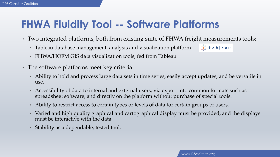# **FHWA Fluidity Tool -- Software Platforms**

- Two integrated platforms, both from existing suite of FHWA freight measurements tools:
	- Tableau database management, analysis and visualization platform
	- FHWA/HOFM GIS data visualization tools, fed from Tableau
- The software platforms meet key criteria:
	- Ability to hold and process large data sets in time series, easily accept updates, and be versatile in use.
	- Accessibility of data to internal and external users, via export into common formats such as spreadsheet software, and directly on the platform without purchase of special tools.
	- Ability to restrict access to certain types or levels of data for certain groups of users.
	- Varied and high quality graphical and cartographical display must be provided, and the displays must be interactive with the data.
	- Stability as a dependable, tested tool.

 $\frac{1}{4+4}$  + a b | e a u<sup>.</sup>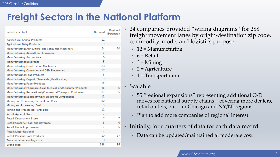### **Freight Sectors in the National Platform**

| <b>Industry Sector1</b>                                       | <b>National</b> | Regional<br>Expansion |
|---------------------------------------------------------------|-----------------|-----------------------|
| <b>Agriculture: Animal Products</b>                           | 11              |                       |
| <b>Agriculture: Dairy Products</b>                            | 9               |                       |
| Manufacturing: Agricultural and Consumer Machinery            | 24              | 10                    |
| Manufacturing: Aircraft and Aerospace                         | 5               |                       |
| Manufacturing: Automotive                                     | 6               |                       |
| Manufacturing: Beverages                                      | 5               |                       |
| <b>Manufacturing: Construction Machinery</b>                  | 23              |                       |
| Manufacturing: Consumer and OEM Electronics                   | 17              |                       |
| <b>Manufacturing: Food Products</b>                           | 6               |                       |
| Manufacturing: Organic Chemicals (Plastics et al)             | 9               |                       |
| <b>Manufacturing: Paper Products</b>                          | 12              |                       |
| Manufacturing: Pharmaceutical, Medical, and Consumer Products | 45              | 5                     |
| Manufacturing: Recreational/Commercial Transport Equipment    | 17              | 5                     |
| Manufacturing: Speciality OEM Electronic Components           | 12              |                       |
| Mining and Processing: Cement and Rock                        | 20              |                       |
| Mining and Processing: Coal                                   | 9               |                       |
| Mining and Processing: Fertilizers                            | 12              |                       |
| <b>Retail: Apparel Store</b>                                  | 7               |                       |
| <b>Retail: Department Store</b>                               | 7               | 7                     |
| Retail: Grocery, Food, and Beverage                           | 8               | 6                     |
| Retail: Home Improvement                                      | 7               | 5                     |
| <b>Retail: Major National</b>                                 | 4               |                       |
| <b>Retail: Personal Care Products</b>                         | 10              | 17                    |
| <b>Transportation and Logistics</b>                           | з               |                       |
| <b>Grand Total</b>                                            | 288             | 55                    |

- 24 companies provided "wiring diagrams" for 288 freight movement lanes by origin-destination zip code, commodity, mode, and logistics purpose
	- 12 = Manufacturing
	- $6 = Retail$
	- $3 =$ Mining
	- $2 =$  Agriculture
	- 1 = Transportation

#### • Scalable

- 55 "regional expansions" representing additional O-D moves for national supply chains – covering more dealers, retail outlets, etc. – in Chicago and NY/NJ regions
- Plan to add more companies of regional interest
- Initially, four quarters of data for each data record
	- Data can be updated/maintained at moderate cost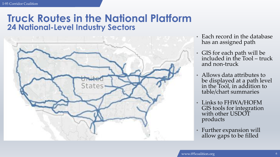### **Truck Routes in the National Platform 24 National-Level Industry Sectors**



- Each record in the database has an assigned path
- GIS for each path will be included in the Tool – truck and non-truck
- Allows data attributes to be displayed at a path level in the Tool, in addition to table/chart summaries
- Links to FHWA/HOFM GIS tools for integration with other USDOT products
- Further expansion will allow gaps to be filled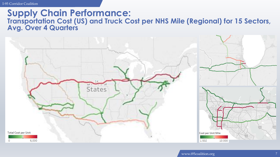#### **Supply Chain Performance: Transportation Cost (US) and Truck Cost per NHS Mile (Regional) for 15 Sectors, Avg. Over 4 Quarters**

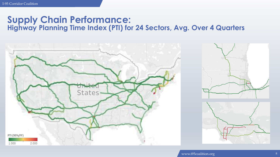### **Supply Chain Performance: Highway Planning Time Index (PTI) for 24 Sectors, Avg. Over 4 Quarters**

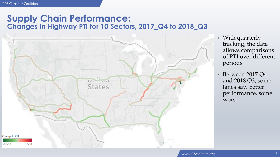### **Supply Chain Performance: Changes in Highway PTI for 10 Sectors, 2017\_Q4 to 2018\_Q3**



- With quarterly tracking, the data allows comparisons of PTI over different periods
- Between 2017 Q4 and 2018 Q3, some lanes saw better performance, some worse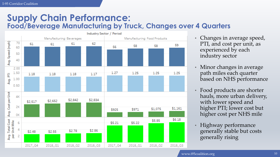### **Supply Chain Performance: Food/Beverage Manufacturing by Truck, Changes over 4 Quarters**



- Changes in average speed, PTI, and cost per unit, as experienced by each industry sector
- Minor changes in average path miles each quarter based on NHS performance
- Food products are shorter hauls, more urban delivery, with lower speed and higher PTI; lower cost but higher cost per NHS mile
- Highway performance generally stable but costs generally rising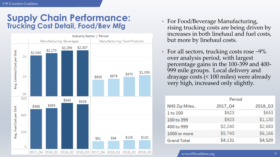### **Supply Chain Performance: Trucking Cost Detail, Food/Bev Mfg** • For Food/Beverage Manufacturing,

![](_page_10_Figure_2.jpeg)

- rising trucking costs are being driven by increases in both linehaul and fuel costs, but more by linehaul costs.
- For all sectors, trucking costs rose  $\sim$ 9% over analysis period, with largest percentage gains in the 100-399 and 400- 999 mile groups. Local delivery and drayage costs (< 100 miles) were already very high, increased only slightly.

|                    | Period  |         |
|--------------------|---------|---------|
| NHS Zip Miles      | 2017_Q4 | 2018_03 |
| $1$ to $100$       | \$623   | \$653   |
| 100 to 399         | \$923   | \$1,130 |
| 400 to 999         | \$2,240 | \$2,683 |
| 1000 or more       | \$5,743 | \$6,166 |
| <b>Grand Total</b> | \$4,131 | \$4,520 |

www.i95coalition.org 11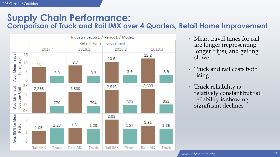#### **Supply Chain Performance: Comparison of Truck and Rail IMX over 4 Quarters, Retail Home Improvement**

![](_page_11_Figure_2.jpeg)

- Mean travel times for rail are longer (representing longer trips), and getting slower
- Truck and rail costs both rising
- Truck reliability is relatively constant but rail reliability is showing significant declines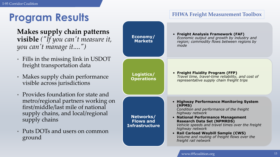### **Program Results**

**Makes supply chain patterns visible** *("If you can't measure it, you can't manage it....")*

- Fills in the missing link in USDOT freight transportation data
- Makes supply chain performance visible across jurisdictions
- Provides foundation for state and metro/regional partners working on first/middle/last mile of national supply chains, and local/regional supply chains
- Puts DOTs and users on common ground

| Economy7<br><b>Markets</b>                             | • Freight Analysis Framework (FAF)<br>Economic output and growth by industry and<br>region; commodity flows between regions by<br>mode                                                                                                                                                                                                                                           |
|--------------------------------------------------------|----------------------------------------------------------------------------------------------------------------------------------------------------------------------------------------------------------------------------------------------------------------------------------------------------------------------------------------------------------------------------------|
| Logistics/<br><b>Operations</b>                        | • Freight Fluidity Program (FFP)<br>Travel time, travel-time reliability, and cost of<br>representative supply chain freight trips                                                                                                                                                                                                                                               |
| Networks/<br><b>Flows and</b><br><b>Infrastructure</b> | • Highway Performance Monitoring System<br>(HPMS)<br>Condition and performance of the freight<br>highway network<br>• National Performance Management<br><b>Research Data Set (NPMRDS)</b><br>Vehicle speeds and travel times over the freight<br>highway network<br>• Rail Carload Waybill Sample (CWS)<br>Volume and routing of freight flows over the<br>freight rail network |

**FHWA Freight Measurement Toolbox**